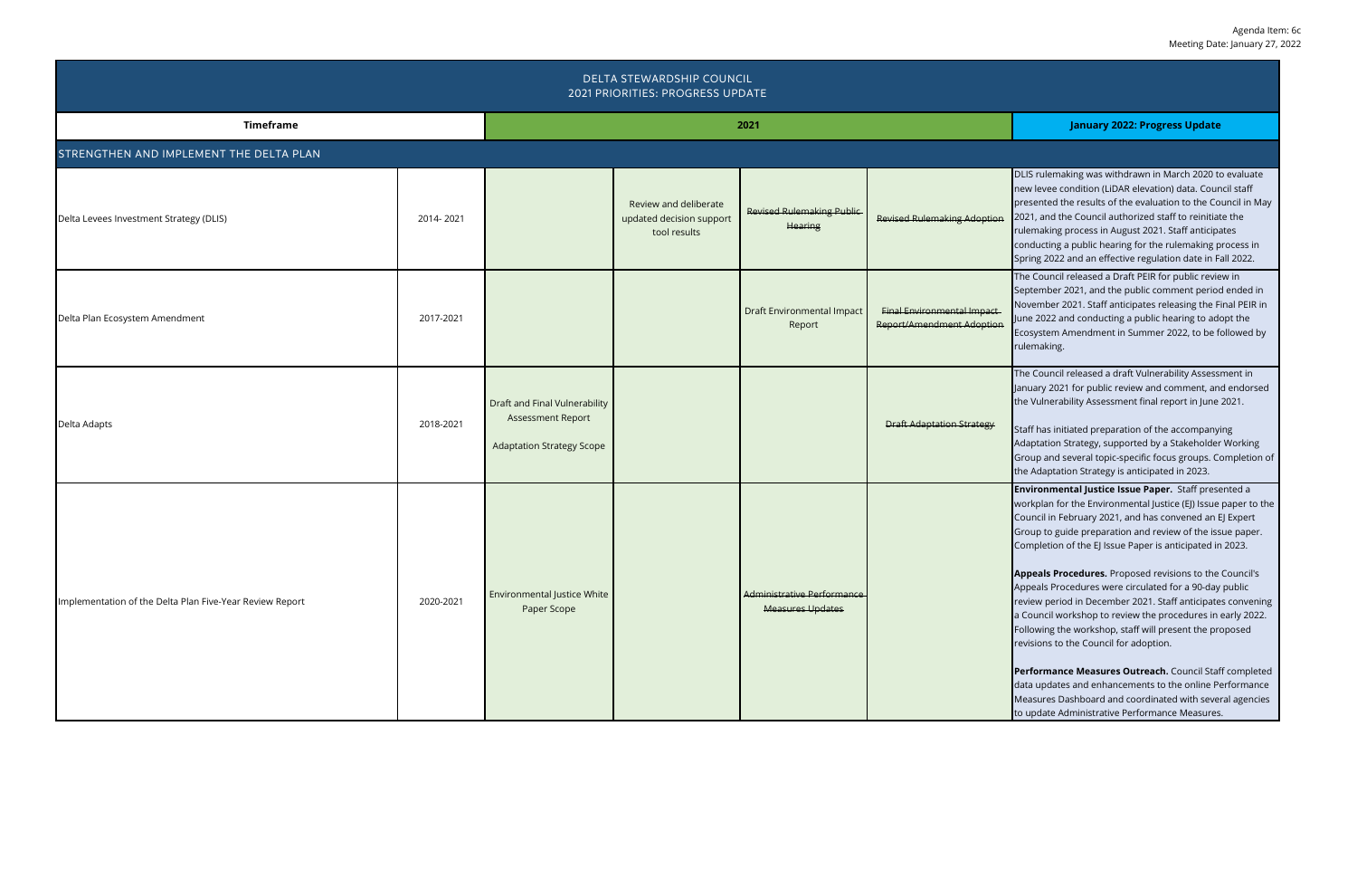| DELTA STEWARDSHIP COUNCIL<br>2021 PRIORITIES: PROGRESS UPDATE |           |                                                                                               |                                                                   |                                                       |                                                                |                                                                                                                                                                                                                                                                                                                                                                                                                                                                                                                                                                                                                                                                                                                                                                                                                                                                                                             |  |
|---------------------------------------------------------------|-----------|-----------------------------------------------------------------------------------------------|-------------------------------------------------------------------|-------------------------------------------------------|----------------------------------------------------------------|-------------------------------------------------------------------------------------------------------------------------------------------------------------------------------------------------------------------------------------------------------------------------------------------------------------------------------------------------------------------------------------------------------------------------------------------------------------------------------------------------------------------------------------------------------------------------------------------------------------------------------------------------------------------------------------------------------------------------------------------------------------------------------------------------------------------------------------------------------------------------------------------------------------|--|
| <b>Timeframe</b>                                              |           |                                                                                               | 2021                                                              | <b>January 2022: Progress Update</b>                  |                                                                |                                                                                                                                                                                                                                                                                                                                                                                                                                                                                                                                                                                                                                                                                                                                                                                                                                                                                                             |  |
| STRENGTHEN AND IMPLEMENT THE DELTA PLAN                       |           |                                                                                               |                                                                   |                                                       |                                                                |                                                                                                                                                                                                                                                                                                                                                                                                                                                                                                                                                                                                                                                                                                                                                                                                                                                                                                             |  |
| Delta Levees Investment Strategy (DLIS)                       | 2014-2021 |                                                                                               | Review and deliberate<br>updated decision support<br>tool results | <b>Revised Rulemaking Public</b><br><b>Hearing</b>    | <b>Revised Rulemaking Adoption</b>                             | DLIS rulemaking was withdrawn in March 2020 to evaluate<br>new levee condition (LiDAR elevation) data. Council staff<br>presented the results of the evaluation to the Council in May<br>2021, and the Council authorized staff to reinitiate the<br>rulemaking process in August 2021. Staff anticipates<br>conducting a public hearing for the rulemaking process in<br>Spring 2022 and an effective regulation date in Fall 2022.                                                                                                                                                                                                                                                                                                                                                                                                                                                                        |  |
| Delta Plan Ecosystem Amendment                                | 2017-2021 |                                                                                               |                                                                   | <b>Draft Environmental Impact</b><br>Report           | <b>Final Environmental Impact</b><br>Report/Amendment Adoption | The Council released a Draft PEIR for public review in<br>September 2021, and the public comment period ended in<br>November 2021. Staff anticipates releasing the Final PEIR in<br>June 2022 and conducting a public hearing to adopt the<br>Ecosystem Amendment in Summer 2022, to be followed by<br>rulemaking.                                                                                                                                                                                                                                                                                                                                                                                                                                                                                                                                                                                          |  |
| Delta Adapts                                                  | 2018-2021 | Draft and Final Vulnerability<br><b>Assessment Report</b><br><b>Adaptation Strategy Scope</b> |                                                                   |                                                       | <b>Draft Adaptation Strategy</b>                               | The Council released a draft Vulnerability Assessment in<br>January 2021 for public review and comment, and endorsed<br>the Vulnerability Assessment final report in June 2021.<br>Staff has initiated preparation of the accompanying<br>Adaptation Strategy, supported by a Stakeholder Working<br>Group and several topic-specific focus groups. Completion of<br>the Adaptation Strategy is anticipated in 2023.                                                                                                                                                                                                                                                                                                                                                                                                                                                                                        |  |
| Implementation of the Delta Plan Five-Year Review Report      | 2020-2021 | Environmental Justice White<br>Paper Scope                                                    |                                                                   | Administrative Performance<br><b>Measures Updates</b> |                                                                | <b>Environmental Justice Issue Paper.</b> Staff presented a<br>workplan for the Environmental Justice (EJ) Issue paper to the<br>Council in February 2021, and has convened an EJ Expert<br>Group to guide preparation and review of the issue paper.<br>Completion of the EJ Issue Paper is anticipated in 2023.<br>Appeals Procedures. Proposed revisions to the Council's<br>Appeals Procedures were circulated for a 90-day public<br>review period in December 2021. Staff anticipates convening<br>a Council workshop to review the procedures in early 2022.<br>Following the workshop, staff will present the proposed<br>revisions to the Council for adoption.<br>Performance Measures Outreach. Council Staff completed<br>data updates and enhancements to the online Performance<br>Measures Dashboard and coordinated with several agencies<br>to update Administrative Performance Measures. |  |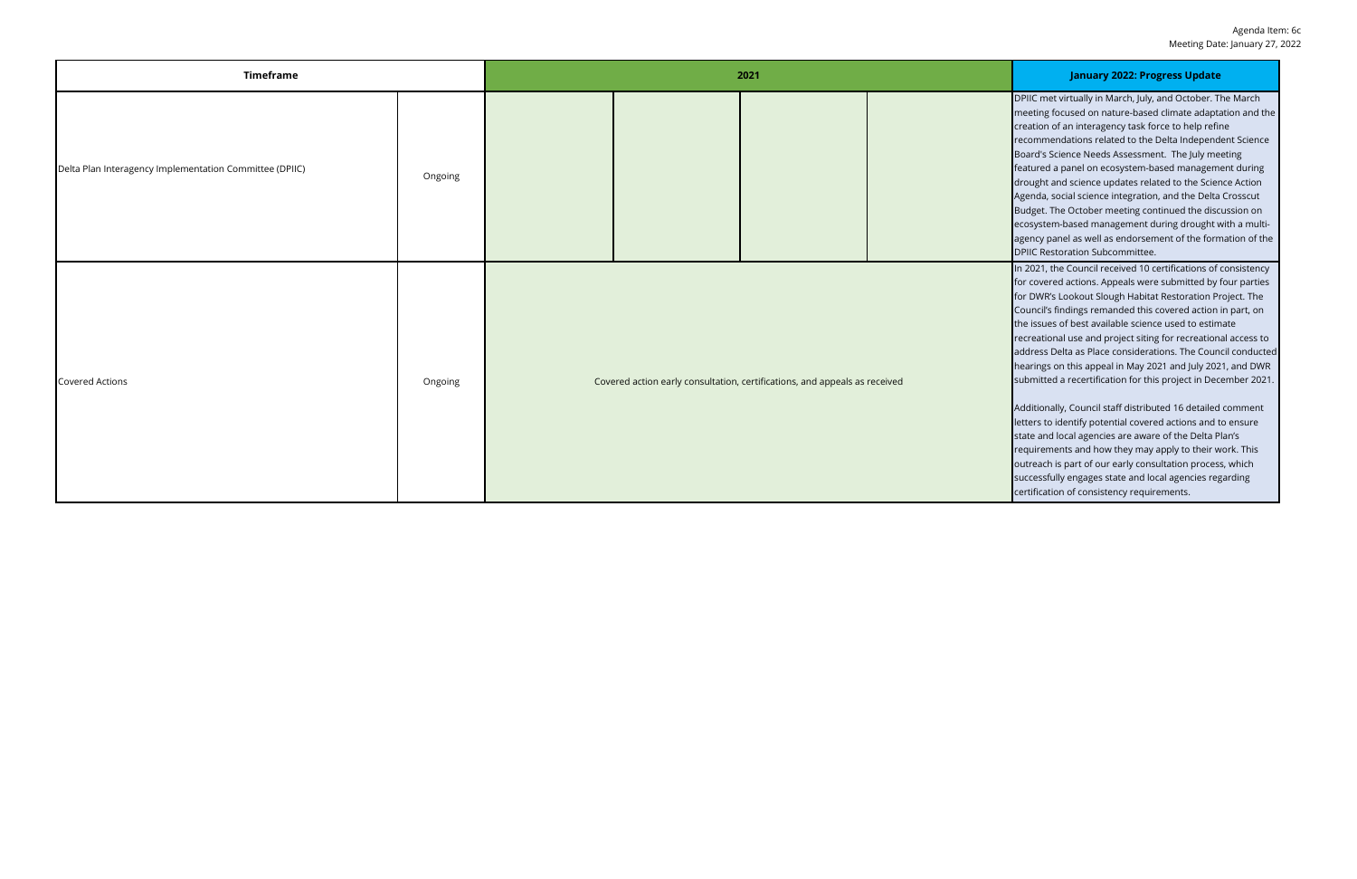| <b>Timeframe</b>                                        |         | 2021                                                                       |  |  |  | <b>January 2022: Progress Update</b>                                                                                                                                                                                                                                                                                                                                                                                                                                                                                                                                                                                                                                                                                                                                                                                                                                                                                                                                                                          |
|---------------------------------------------------------|---------|----------------------------------------------------------------------------|--|--|--|---------------------------------------------------------------------------------------------------------------------------------------------------------------------------------------------------------------------------------------------------------------------------------------------------------------------------------------------------------------------------------------------------------------------------------------------------------------------------------------------------------------------------------------------------------------------------------------------------------------------------------------------------------------------------------------------------------------------------------------------------------------------------------------------------------------------------------------------------------------------------------------------------------------------------------------------------------------------------------------------------------------|
| Delta Plan Interagency Implementation Committee (DPIIC) | Ongoing |                                                                            |  |  |  | DPIIC met virtually in March, July, and October. The March<br>meeting focused on nature-based climate adaptation and the<br>creation of an interagency task force to help refine<br>recommendations related to the Delta Independent Science<br>Board's Science Needs Assessment. The July meeting<br>featured a panel on ecosystem-based management during<br>drought and science updates related to the Science Action<br>Agenda, social science integration, and the Delta Crosscut<br>Budget. The October meeting continued the discussion on<br>ecosystem-based management during drought with a multi-<br>agency panel as well as endorsement of the formation of the<br><b>DPIIC Restoration Subcommittee.</b>                                                                                                                                                                                                                                                                                         |
| <b>Covered Actions</b>                                  | Ongoing | Covered action early consultation, certifications, and appeals as received |  |  |  | In 2021, the Council received 10 certifications of consistency<br>for covered actions. Appeals were submitted by four parties<br>for DWR's Lookout Slough Habitat Restoration Project. The<br>Council's findings remanded this covered action in part, on<br>the issues of best available science used to estimate<br>recreational use and project siting for recreational access to<br>address Delta as Place considerations. The Council conducted<br>hearings on this appeal in May 2021 and July 2021, and DWR<br>submitted a recertification for this project in December 2021.<br>Additionally, Council staff distributed 16 detailed comment<br>letters to identify potential covered actions and to ensure<br>state and local agencies are aware of the Delta Plan's<br>requirements and how they may apply to their work. This<br>outreach is part of our early consultation process, which<br>successfully engages state and local agencies regarding<br>certification of consistency requirements. |